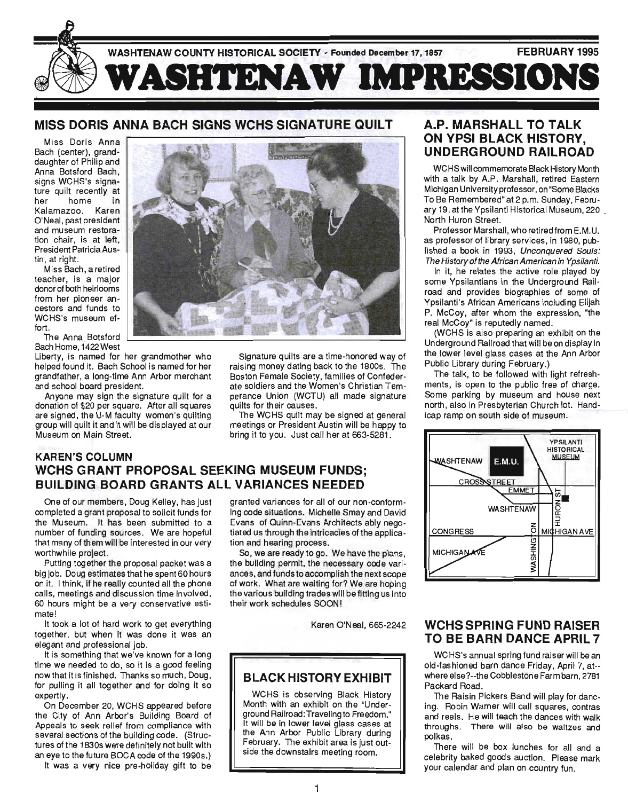

## **MISS DORIS ANNA BACH SIGNS WCHS SIGNATURE QUILT**

Miss Doris Anna Bach (center), granddaughter of Philip and Anna Botsford Bach, signs WCHS's signature quilt recently at her home in Kalamazoo. Karen O'Neal, past president and museum restoration chair, is at left, President Patricia Austin, at right.

Miss Bach, a retired teacher, is a major donor of both heirlooms from her pioneer ancestors and funds to WCHS's museum effort.

The Anna Botsford Bach Home, 1422 West

Liberty, is named for her grandmother who helped found it. Bach School is named for her grandfather, a long-time Ann Arbor merchant and school board president.

Anyone may sign the signature quilt for a donation of \$20 per square. After all squares are signed, the U-M faculty women's quilting group will quilt it and it will be displayed at our Museum on Main Street.



Signature quilts are a time-honored way of raising money dating back to the 1800s. The Boston Female Society, families of Confederate soldiers and the Women's Christian Temperance Union (WCTU) all made signature quilts for their causes.

The WCHS quilt may be signed at general meetings or President Austin will be happy to bring it to you. Just call her at 663-5281.

## **KAREN'S COLUMN WCHS GRANT PROPOSAL SEEKING MUSEUM FUNDS; BUILDING BOARD GRANTS ALL VARIANCES NEEDED**

One of our members, Doug Kelley, has just completed a grant proposal to solicit funds for the Museum. It has been submitted to a number of funding sources. We are hopeful that many of them will be interested in our very worthwhile project.

Putting together the proposal packet was a big job. Doug estimates that he spent 60 hours on it. I think, if he really counted all the phone calls, meetings and discussion time involved, 60 hours might be a very conservative estimate!

It took a lot of hard work to get everything together, but when it was done it was an elegant and professional job.

It is something that we've known for a long time we needed to do, so it is a good feeling now that it is finished. Thanks so much, Doug, for pulling it all together and for doing it so expertly.

On December 20, WCHS appeared before the City of Ann Arbor's Building Board of Appeals to seek relief from compliance with several sections of the building code. (Structures of the 1830s were definitely not built with an eye to the future BOCA code of the 1990s.)

It was a very nice pre-holiday gift to be

granted variances for all of our non-conforming code situations. Michelle Smay and David Evans of Quinn-Evans Architects ably negotiated us through the intricacies of the application and hearing process.

So, we are ready to go. We have the plans, the building permit, the necessary code variances, and funds to accomplish the next scope of work. What are waiting for? We are hoping the various building trades will be fitting us into their work schedules SOON I

Karen O'Neal, 665-2242

# **BLACK HISTORY EXHIBIT**

WCHS is observing Black History Month with an exhibit on the "Underground Railroad: Traveling to Freedom." It will be in lower level glass cases at the Ann Arbor Public Library during February. The exhibit area is just outside the downstairs meeting room.

#### **A.P. MARSHALL TO TALK ON YPSI BLACK HISTORY, UNDERGROUND RAILROAD**

WCHS will commemorate Black History Month with a talk by A.P. Marshall, retired Eastern Michigan University professor, on "Some Blacks To Be Remembered" at 2 p.m. Sunday, February 19, at the Ypsilanti Historical Museum, 220 . North Huron Street.

Professor Marshall, who retired from E.M.U. as professor of library services, in 1980, published a book in 1993, Unconquered Souls: The History of the African American in Ypsilanti.

In it, he relates the active role played by some Ypsilantians in the Underground Railroad and provides biographies of some of Ypsilanti's African Americans including Elijah P. McCoy, after whom the expression, "the real McCoy" is reputedly named.

(WCHS is also preparing an exhibit on the Underground Railroad that will be on display in the lower level glass cases at the Ann Arbor Public Library during February.)

The talk, to be followed with light refreshments, is open to the public free of charge. Some parking by museum and house next north, also in Presbyterian Church lot. Handicap ramp on south side of museum.



#### **WCHS SPRING FUND RAISER TO BE BARN DANCE APRIL 7**

WCHS's annual spring fund raiser will be an old-fashioned barn dance Friday, April 7, at- where else?--the Cobblestone Farm barn, 2781 Packard Road.

The Raisin Pickers Band will play for dancing. Robin Warner will call squares, contras and reels. He will teach the dances with walk throughs. There will also be waltzes and polkas.

There will be box lunches for all and a celebrity baked goods auction. Please mark your calendar and plan on country fun.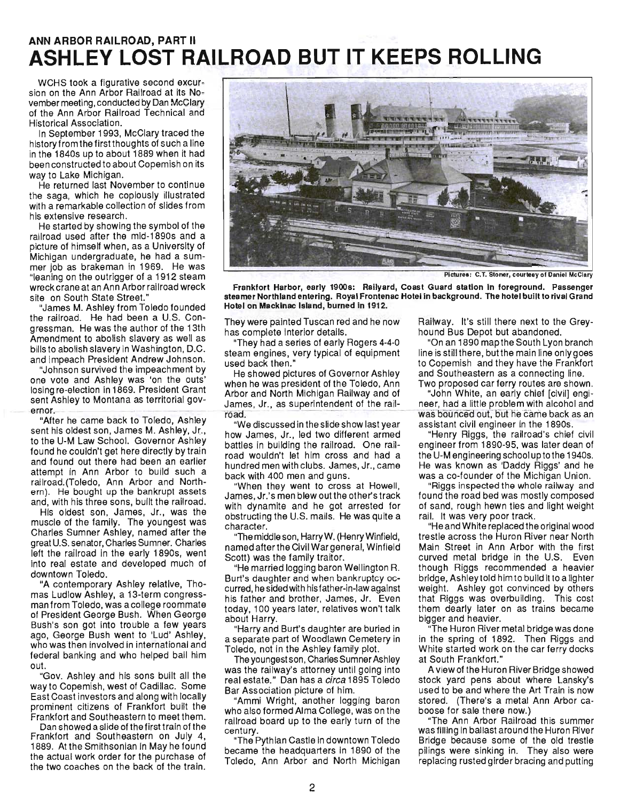# **ANN ARBOR RAILROAD, PART II** ASHLEY LOST **RAILROAD BUT IT KEEPS ROLLING**

WCHS took a figurative second excursion on the Ann Arbor Railroad at its November meeting, conducted by Dan McClary of the Ann Arbor Railroad Technical and Historical Association.

In September 1993, McClary traced the history from the firstthoughts of such a line in the 1840s up to about 1889 when it had been constructed to about Copemish on its way to Lake Michigan.

He returned last November to continue the saga, which he copiously illustrated with a remarkable collection of slides from his extensive research.

He started by showing the symbol of the railroad used after the mid-1890s and a picture of himself when, as a University of Michigan undergraduate, he had a summer job as brakeman in 1969. He was "leaning on the outrigger of a 1912 steam wreck crane at an Ann Arbor railroad wreck site on South State Street."

"James M. Ashley from Toledo founded the railroad. He had been a U.S. Cong ressman. He was the author of the 13th Amendment to abolish slavery as well as bills to abolish slavery in Washington, D.C. and impeach President Andrew Johnson.

"Johnson survived the impeachment by one vote and Ashley was 'on the outs' losing re-election in 1869. President Grant ent Ashley to Montana as territorial gov-<br>rmor.

"After he came back to Toledo, Ashley sent his oldest son, James M. Ashley, Jr., to the U-M Law School. Governor Ashley found he couldn't get here directly by train and found out there had been an earlier attempt in Ann Arbor to build such a railroad.(Toledo, Ann Arbor and Northern). He bought up the bankrupt assets and, with his three sons, built the railroad.

His oldest son, James, Jr., was the muscle of the family. The youngest was Charles Sumner Ashley, named after the great U.S. senator, Charles Sumner. Charles left the railroad in the early 1890s, went into real estate and developed much of downtown Toledo.

"A contemporary Ashley relative, Thomas Ludlow Ashley, a 13-term congressman from Toledo, was a college roommate of President George Bush. When George Bush's son got into trouble a few years ago, George Bush went to 'Lud' Ashley, who was then involved in international and federal banking and who helped bail him out.

"Gov. Ashley and his sons built all the way to Copemish, west of Cadillac. Some East Coast investors and along with locally prominent citizens of Frankfort built the Frankfort and Southeastern to meet them.

Dan showed a slide of the first train of the Frankfort and Southeastern on July 4, 1889. At the Smithsonian in May he found the actual work order for the purchase of the two coaches on the back of the train.



Pictures: C.T. Stoner, courtesy of Daniel McClary

Frankfort Harbor, early 1900s: Railyard, Coast Guard station in foreground. Passenger steamer Northland entering. Royal Frontenac Hotel in background. The hotel built to rival Grand Hotel on Mackinac Island, burned in 1912.

They were painted Tuscan red and he now has complete interior details.

"They had a series of early Rogers 4-4-0 steam engines, very typical of equipment used back then."

He showed pictures of Governor Ashley when he was president of the Toledo, Ann Arbor and North Michigan Railway and of Arbor and North Michigan Hallway and of<br>James, Jr., as superintendent of the rail-<br>road

"We discussed in the slide show last year how James, Jr., led two different armed battles in building the railroad. One railroad wouldn't let him cross and had a hundred men with clubs. James, Jr., came back with 400 men and guns.

"When they went to cross at Howell, James, Jr.'s men blew out the other's track with dynamite and he got arrested for obstructing the U.S. mails. He was quite a character.

"The middle son, HarryW. (Henry Winfield, named after the Civil War general, Winfield Scott) was the family traitor.

"He married logging baron Wellington R. Burt's daughter and when bankruptcy occurred, he sided with his father-in-law against his father and brother, James, Jr. Even today, 100 years later, relatives won't talk about Harry.

"Harry and Burt's daughter are buried in a separate part of Woodlawn Cemetery in Toledo, not in the Ashley family plot.

The youngest son, Charles Sumner Ashley was the railway's attorney until going into real estate." Dan has a circa 1895 Toledo Bar Association picture of him.

"Ammi Wright, another logging baron who also formed Alma College, was on the railroad board up to the early turn of the century.

"The Pythian Castle in downtown Toledo became the headquarters in 1890 of the Toledo, Ann Arbor and North Michigan Railway. It's still there next to the Greyhound Bus Depot but abandoned.

"On an 1890 map the South Lyon branch line is still there, butthe main line onlygoes to Copemish and they have the Frankfort and Southeastern as a connecting line. Two proposed car ferry routes are shown.

"John White, an early chief [civil] engineer, had a little problem with alcohol and was bounced out, but he came back as an assistant civil engineer in the 1890s.

"Henry Riggs, the railroad's chief civil engineer from 1890-95, was later dean of the U-M engineering school up to the 1940s. He was known as 'Daddy Riggs' and he was a co-founder of the Michigan Union.

"Riggs inspected the whole railway and found the road bed was mostly composed of sand, rough hewn ties and light weight rail. It was very poor track.

"He and White replaced the original wood trestle across the Huron River near North Main Street in Ann Arbor with the first curved metal bridge in the U.S. Even though Riggs recommended a heavier bridge, Ashley told him to build it to a lighter weight. Ashley got convinced by others that Riggs was overbuilding. This cost them dearly later on as trains became bigger and heavier.

"The Huron River metal bridge was done in the spring of 1892. Then Riggs and White started work on the car ferry docks at South Frankfort."

A view of the Huron River Bridge showed stock yard pens about where Lansky's used to be and where the Art Train is now stored. (There's a metal Ann Arbor caboose for sale there now.)

"The Ann Arbor Railroad this summer was filling in ballast around the Huron River Bridge because some of the old trestle pilings were sinking in. They also were replacing rusted girder bracing and putting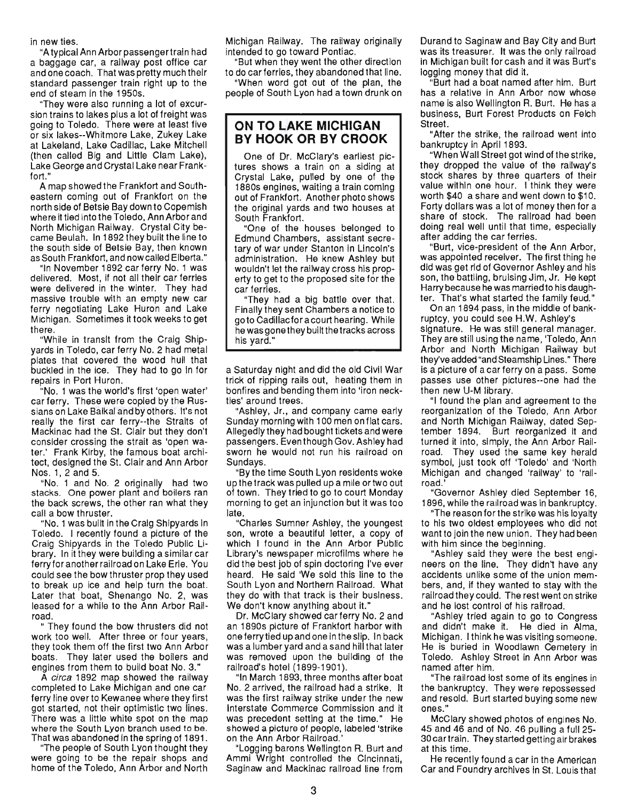in new ties.

"A typical Ann Arbor passengertrain had a baggage car, a railway post office car and one coach. That was pretty much their standard passenger train right up to the end of steam in the 1950s.

"They were also running a lot of excursion trains to lakes plus a lot of freight was going to Toledo. There were at least five or six lakes--Whitmore Lake, Zukey Lake at Lakeland, Lake Cadillac, Lake Mitchell (then called Big and Little Clam Lake), Lake George and Crystal Lake near Frankfort."

A map showed the Frankfort and Southeastern coming out of Frankfort on the north side of Betsie Bay down to Copemish where it tied into the Toledo, Ann Arbor and North Michigan Railway. Crystal City became Beulah. In 1892 they built the line to the south side of Betsie Bay, then known as South Frankfort, and now called Elberta."

"In November 1892 car ferry No.1 was delivered. Most, if not all their car ferries were delivered in the winter. They had massive trouble with an empty new car ferry negotiating Lake Huron and Lake Michigan. Sometimes it took weeks to get there.

"While in transit from the Craig Shipyards in Toledo, car ferry No.2 had metal plates that covered the wood hull that buckled in the ice. They had to go in for repairs in Port Huron.

"No. 1 was the world's first 'open water' car ferry. These were copied by the Russians on Lake Baikal and by others. It's not really the first car ferry--the Straits of Mackinac had the St. Clair but they don't consider crossing the strait as 'open water.' Frank Kirby, the famous boat architect, designed the St. Clair and Ann Arbor Nos. 1,2 and 5.

"No. 1 and No. 2 originally had two stacks. One power plant and boilers ran the back screws, the other ran what they call a bow thruster.

"No.1 was built in the Craig Shipyards in Toledo. I recently found a picture of the Craig Shipyards in the Toledo Public Library. In it they were building a similar car ferry for another railroad on Lake Erie. You could see the bow thruster prop they used to break up ice and help turn the boat. Later that boat, Shenango No. 2, was leased for a while to the Ann Arbor Railroad.

" They found the bow thrusters did not work too well. After three or four years, they took them off the first two Ann Arbor boats. They later used the boilers and engines from them to build boat No. 3."

A circa 1892 map showed the railway completed to Lake Michigan and one car ferry line over to Kewanee where they first got started, not their optimistic two lines. There was a little white spot on the map where the South Lyon branch used to be. There the Ought Lyun branch used to be.<br>That was abandoned in the spring of 1801. it was availablied in the spring of Tool.<br>The people of South Lyon thought they

The people of South Lyon thought they<br>were going to be the repair shops and home of the Toledo, Ann Arbor and North Michigan Railway. The railway originally intended to go toward Pontiac.

"But when they went the other direction to do car ferries, they abandoned that line.

"When word got out of the plan, the people of South Lyon had a town drunk on

#### **ON TO LAKE MICHIGAN BY HOOK OR BY CROOK**

One of Dr. McClary's earliest pictures shows a train on a siding at Crystal Lake, pulled by one of the 1880s engines, waiting a train coming out of Frankfort. Another photo shows the original yards and two houses at South Frankfort.

"One of the houses belonged to Edmund Chambers, assistant secretary of war under Stanton in Lincoln's administration. He knew Ashley but wouldn't let the railway cross his property to get to the proposed site for the car ferries.

"They had a big battle over that. Finally they sent Chambers a notice to goto Cadillacforacourt hearing. While he was gone they built the tracks across his yard."

a Saturday night and did the old Civil War trick of ripping rails out, heating them in bonfires and bending them into 'iron neckties' around trees.

"Ashley, Jr., and company came early Sunday morning with 100 men on flat cars. Allegedly they had bought tickets and were passengers. Even though Gov. Ashley had sworn he would not run his railroad on Sundays.

"By the time South Lyon residents woke up the track was pulled up a mile ortwo out of town. They tried to go to court Monday morning to get an injunction but it was too late.<br>Ito

"Charles Sumner Ashley, the youngest son, wrote a beautiful letter, a copy of which I found in the Ann Arbor Public Library's newspaper microfilms where he did the best job of spin doctoring I've ever heard. He said 'We sold this line to the South Lyon and Northern Railroad. What they do with that track is their business. We don't know anything about it."

Dr. McClary showed car ferry No.2 and an 1890s picture of Frankfort harbor with one ferry tied up and one in the slip. In back was a lumber yard and a sand hill that later was removed upon the building of the railroad's hotel (1899-1901).

"In March 1893, three months after boat No.2 arrived, the railroad had a strike. It was the first railway strike under the new Interstate Commerce Commission and it was precedent setting at the time." He showed a picture of people, labeled 'strike showed a picture of people, labeled 'strike<br>on the Ann Arbor Railroad.'

"Logging barons Wellington R. Burt and Ammi Wright controlled the Cincinnati, Saginaw and Mackinac railroad line from Durand to Saginaw and Bay City and Burt was its treasurer. It was the only railroad in Michigan built for cash and it was Burt's logging money that did it.

"Burt had a boat named after him. Burt has a relative in Ann Arbor now whose name is also Wellington R. Burt. He has a business, Burt Forest Products on Felch Street.

"After the strike, the railroad went into bankruptcy in April 1893.

"When Wall Street got wind of the strike, they dropped the value of the railway's stock shares by three quarters of their value within one hour. I think they were worth \$40 a share and went down to \$10. Forty dollars was a lot of money then for a share of stock. The railroad had been doing real well until that time, especially after adding the car ferries.

"Burt, vice-president of the Ann Arbor, was appointed receiver. The first thing he did was get rid of Governor Ashley and his son, the battling, bruising Jim, Jr. He kept Harry because he was married to his daughter. That's what started the family feud."

On an 1894 pass, in the middle of bankruptcy, you could see H.w. Ashley's signature. He was still general manager. They are still using the name, 'Toledo, Ann Arbor and North Michigan Railway but they've added "and Steamship Lines." There is a picture of a car ferry on a pass. Some passes use other pictures--one had the then new U-M library.

"I found the plan and agreement to the reorganization of the Toledo, Ann Arbor and North Michigan Railway, dated September 1894. Burt reorganized it and turned it into, simply, the Ann Arbor Railroad. They used the same key herald symbol, just took off 'Toledo' and 'North Michigan and changed 'railway' to 'railroad.'

"Governor Ashley died September 16, 1896, while the railroad was in bankruptcy.

"The reason for the strike was his loyalty to his two oldest employees who did not want to join the new union. They had been with him since the beginning.

"Ashley said they were the best engineers on the line. They didn't have any accidents unlike some of the union members, and, if they wanted to stay with the railroad they COUld. The rest went on strike and he lost control of his railroad.

"Ashley tried again to go to Congress and didn't make it. He died in Alma, Michigan. I think he was visiting someone. He is buried in Woodlawn Cemetery in Toledo. Ashley Street in Ann Arbor was named after him.

"The railroad lost some of its engines in the bankruptcy. They were repossessed and resold. Burt started buying some new ones."

McClary showed photos of engines No.  $45$  and  $46$  and of No.  $46$  pulling a full 25-30 car train. They started getting air brakes at this time.

He recently found a car in the American Car and Foundry archives in St. Louis that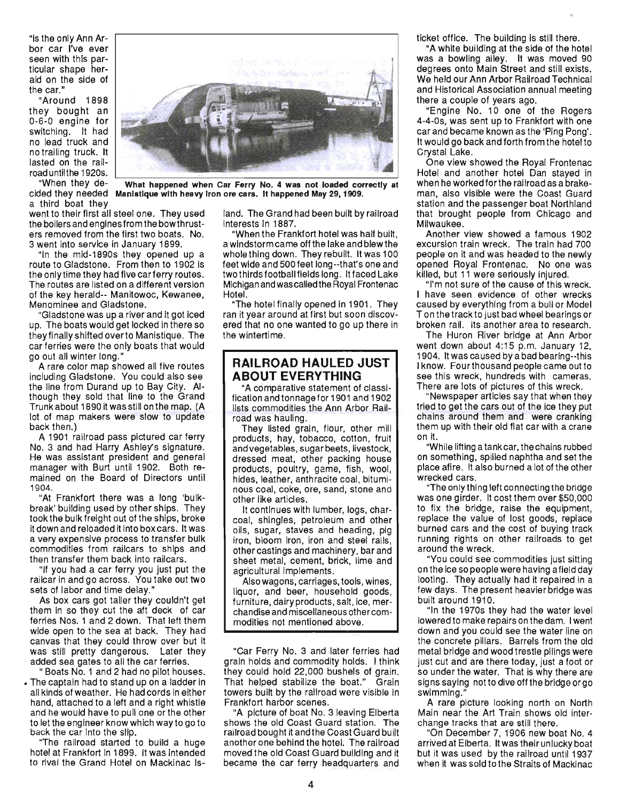"is the only Ann Arbor car I've ever seen with this particular shape herald on the side of the car.'

"Around 1898 they bought an 0-6-0 engine for switching. It had no lead truck and no trailing truck. It lasted on the railroad until the 1920s.

"When they de- What happened when Car Ferry No.4 was not loaded correctly at cided they needed Manistique with heavy Iron ore cars. It happened May 29, 1909. a third boat they

went to their first all steel one. They used the boilers and engines from the bow thrusters removed from the first two boats. No. 3 went into service in January 1899.

"In the mid-1890s they opened up a route to Gladstone. From then to 1902 is the only time they had five car ferry routes. The routes are listed on a different version of the key herald-- Manitowoc, Kewanee, Menominee and Gladstone.

Gladstone was up a river and it got iced up. The boats would get locked in there so they finally shifted overto Manistique. The car ferries were the only boats that would go out all winter long.'

A rare color map showed all five routes including Gladstone. You could also see the line from Durand up to Bay City. Although they sold that line to the Grand Trunk about 1890 it was still on the map. (A lot of map makers were slow to update back then.)

A 1901 railroad pass pictured car ferry No.3 and had Harry Ashley's signature. He was assistant president and general manager with Burt until 1902. Both remained on the Board of Directors until 1904.

"At Frankfort there was a long 'bulkbreak' building used by other ships. They took the bulk freight out of the ships, broke it down and reloaded it into box cars. It was a very expensive process to transfer bulk commodities from railcars to ships and then transfer them back into railcars.

"If you had a car ferry you just put the railcar in and go across. You take out two sets of labor and time delay."

As box cars got taller they couldn't get them in so they cut the aft deck of car ferries Nos. 1 and 2 down. That left them wide open to the sea at back. They had canvas that they could throw over but it was still pretty dangerous. Later they added sea gates to all the car ferries.

" Boats No.1 and 2 had no pilot houses. • The captain had to stand up on a ladder in all kinds of weather. He had cords in either hand, attached to a left and a right whistle and he would have to pull one or the other to let the engineer know which way to go to back the car Into the Slip.

"The railroad started to build a huge hotel at Frankfort in 1899. It was intended to rival the Grand Hotel on Mackinac Island. The Grand had been built by railroad interests in 1887.

"When the Frankfort hotel was half built, a windstorm came off the lake and blew the whole thing down. They rebuilt. It was 100 feet wide and 500 feet long--that's one and two thirds football fields long. It faced Lake Michigan and was called the Royal Frontenac Hotel.

"The hotel finally opened in 1901. They ran it year around at first but soon discovered that no one wanted to go up there in the wintertime.

#### **RAILROAD HAULED JUST ABOUT EVERYTHING**

"A comparative statement of classification and tonnage for 1901 and 1902 lists commodities the Ann Arbor Railroad was hauling.

They listed grain, flour, other mill products, hay, tobacco, cotton, fruit and vegetables, sugar beets, livestock, dressed meat, other packing house products, poultry, game, fish, wool, hides, leather, anthracite coal, bituminous coal, coke, ore, sand, stone and other like articles.

It continues with lumber, logs, charcoal, shingles, petroleum and other oils, sugar, staves and heading, pig iron, bloom iron, iron and steel rails, other castings and machinery, bar and sheet metal, cement, brick, lime and agricultural implements.

Alsowagons, carriages, tools, wines, liquor, and beer, household goods, furniture, dairy products, salt, ice, merchandise and miscellaneous other commodities not mentioned above.

"Car Ferry No. 3 and later ferries had grain holds and commodity holds. I think they could hold 22,000 bushels of grain. That helped stabilize the boat." Grain towers built by the railroad were visible in Frankfort harbor scenes.

"A picture of boat No.3 leaving Elberta shows the old Coast Guard station. The railroad bought it and the Coast Guard built another one behind the hotel. The railroad moved the old Coast Guard building and it became the car ferry headquarters and

ticket office. The building is still there.

"A white building at the side of the hotel was a bowling alley. It was moved 90 degrees onto Main Street and still exists. We held our Ann Arbor Railroad Technical and Historical Association annual meeting there a couple of years ago.

"Engine No. 10 one of the Rogers 4-4-0s, was sent up to Frankfort with one car and became known as the 'Ping Pong'. It would go back and forth from the hotel to Crystal Lake.

One view showed the Royal Frontenac Hotel and another hotel Dan stayed in when he workedforthe railroad as a brakeman, also visible were the Coast Guard station and the passenger boat Northland that brought people from Chicago and Milwaukee.

Another view showed a famous 1902 excursion train wreck. The train had 700 people on it and was headed to the newly opened Royal Frontenac. No one was killed, but 11 were seriously injured.

"I'm not sure of the cause of this wreck. I have seen evidence of other wrecks caused by everything from a bull or Model T on the track to just bad wheel bearings or broken rail. Its another area to research.

The Huron River bridge at Ann Arbor went down about 4:15 p.m. January 12, 1904. It was caused by a bad bearing--this I know. Fourthousand people came out to see this wreck, hundreds with cameras. There are lots of pictures of this wreck.

"Newspaper articles say that when they tried to get the cars out of the ice they put chains around them and were cranking them up with their old flat car with a crane on it.

"While lifting a tank car, the chains rubbed on something, spilled naphtha and set the place afire. It also burned a lot of the other wrecked cars.

"The only thing left connecting the bridge was one girder. It cost them over \$50,000 to fix the bridge, raise the equipment, replace the value of lost goods, replace burned cars and the cost of buying track running rights on other railroads to get around the wreck.

"You could see commodities just sitting on the ice so people were having a field day looting. They actually had it repaired in a few days. The present heavier bridge was built around 1910.

"In the 1970s they had the water level lowered to make repairs on the dam. I went down and you could see the water line on the concrete pillars. Barrels from the old metal bridge and wood trestle pilings were just cut and are there today, just a foot or so under the water. That is why there are signs saying not to dive off the bridge or go swimming."

A rare picture looking north on North Main near the Art Train shows old interchange tracks that are still there.

"On December 7, 1906 new boat NO.4 arrived at Elberta. It was their unlucky boat but it was used by the railroad until 1937 when it was sold to the Straits of Mackinac



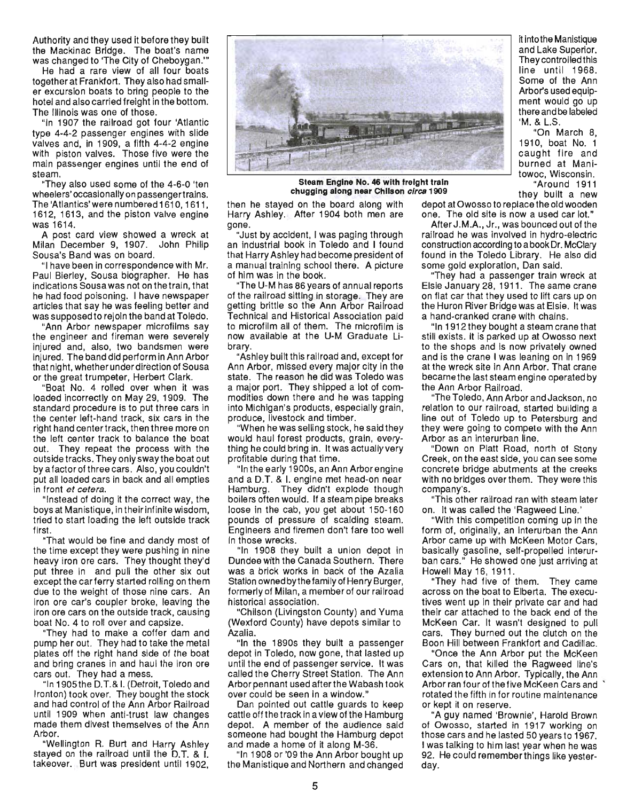Authority and they used it before they built the Mackinac Bridge. The boat's name was changed to 'The City of Cheboygan.'"

He had a rare view of all four boats together at Frankfort. They also had smaller excursion boats to bring people to the hotel and also carried freight in the bottom. The Illinois was one of those.

"In 1907 the railroad got four 'Atlantic type 4-4-2 passenger engines with slide valves and, in 1909, a fifth 4-4-2 engine with piston valves. Those five were the main passenger engines until the end of steam.

"They also used some of the 4-6-0 'ten wheelers' occasionally on passengertrains. The 'Atlantics' were numbered 1610, 1611, 1612, 1613, and the piston valve engine was 1614.

A post card view showed a wreck at Milan December 9, 1907. John Philip Sousa's Band was on board.

"I have been in correspondence with Mr. Paul Bierley, Sousa biographer. He has indications Sousa was not on the train, that he had food poisoning. I have newspaper articles that say he was feeling better and was supposed to rejoin the band at Toledo.

"Ann Arbor newspaper microfilms say the engineer and fireman were severely injured and, also, two bandsmen were injured. The band did perform in Ann Arbor that night, whether under direction of Sousa or the great trumpeter, Herbert Clark.

"Boat No. 4 rolled over when it was loaded incorrectly on May 29, 1909. The standard procedure is to put three cars in the center left-hand track, six cars in the right hand center track, then three more on the left center track to balance the boat out. They repeat the process with the outside tracks. They only sway the boat out by a factor of three cars. Also, you couldn't put all loaded cars in back and all empties in front et cetera.

"Instead of doing it the correct way, the boys at Manistique, in their infinite wisdom, tried to start loading the left outside track first.

"That would be fine and dandy most of the time except they were pushing in nine heavy iron ore cars. They thought they'd put three in and pull the other six out except the car ferry started rolling on them due to the weight of those nine cars. An iron ore car's coupler broke, leaving the iron ore cars on the outside track, causing boat No.4 to roll over and capsize.

"They had to make a coffer dam and pump her out. They had to take the metal plates off the right hand side of the boat and bring cranes in and haul the iron ore cars out. They had a mess.

"In 1905the D.T.& I. (Detroit, Toledo and Ironton) took over. They bought the stock and had control of the Ann Arbor Railroad until 1909 when anti-trust law changes made them divest themselves of the Ann Arbor.

"Wellington R. Burt and Harry Ashley stayed on the railroad until the D.T. & I. takeover. Burt was president until 1902,



towoc, Wisconsin. **Steam Engine** No. **46 with freight train** "Around 1911 **chugging along near Chilson** circa **1909** they built a new

then he stayed on the board along with depot at Owosso to replace the old wooden Harry Ashley. After 1904 both men are one. The old site is now a used car lot." gone. The same of the same of the same of the same of the same of the same of the same of the same of the same of the same of the same of the same of the same of the same of the same of the same of the same of the same of

an industrial book in Toledo and I found construction according to a book Dr. McClary that Harry Ashley had become president of found in the Toledo Library. He also did a manual training school there. A picture some gold exploration, Dan said. of him was in the book. "They had a passenger train wreck at

of the railroad sitting in storage. They are on flat car that they used to lift cars up on getting brittle so the Ann Arbor Railroad the Huron River Bridge was at Elsie. It was Technical and Historical Association paid a hand-cranked crane with chains. to microfilm all of them. The microfilm is "In 1912 they bought a steam crane that now available at the U-M Graduate Li- still exists. It is parked up at Owosso next

Ann Arbor, missed every major city in the at the wreck site in Ann Arbor. That crane state. The reason he did was Toledo was became the last steam engine operated by a major port. They shipped a lot of com- the Ann Arbor Railroad. modities down there and he was tapping "The Toledo, Ann Arbor and Jackson, no into Michigan's products, especially grain, relation to our railroad, started building a

would haul forest products, grain, every- Arbor as an interurban line. thing he could bring in. It was actually very "Down on Platt Road, north of Stony profitable during that time. Creek, on the east side, you can see some

and a D.T. & I. engine met head-on near with no bridges overthem. They were this Hamburg. They didn't explode though company's. boilers often WOUld. If a steam pipe breaks "This other railroad ran with steam later loose in the cab, you get about 150-160 on. It was called the 'Ragweed Line.' pounds of pressure of scalding steam. "With this competition coming up in the Engineers and firemen don't fare too well form of, originally, an interurban the Ann In those wrecks. The Secret of the McKeen Motor Cars, and the McKeen Motor Cars,

Dundee with the Canada Southern. There ban cars." He showed was a brick works in back of the Azalia Howell May 16, 1911. Station ownedbythefamily of Henry Burger, "They had five of them. They came formerly of Milan, a member of our railroad across on the boat to Elberta. The execuhistorical association. The tives went up in their private car and had

(Wexford County) have depots similar to McKeen Car. It wasn't designed to pull Azalia. cars. They burned out the clutch on the

depot in Toledo, now gone, that lasted up "Once the Ann Arbor put the McKeen until the end of passenger service. It was Cars on, that killed the Ragweed line's called the Cherry Street Station. The Ann extension to Ann Arbor. Typically, the Ann over could be seen in a window." rotated the fifth in for routine maintenance

Dan pointed out cattle guards to keep or kept it on reserve. cattle off the track in a view of the Hamburg "A guy named 'Brownie', Harold Brown depot. A member of the audience said of Owosso, started in 1917 working on someone had bought the Hamburg depot those cars and he lasted 50 years to 1967. and made a home of it along M-36. I was talking to him last year when he was

the Manistique and Northern and changed day.

it into the Manistique and Lake Superior. They controlled this line until 1968. Some of the Ann Arbor's used equipment would go up there and be labeled 'M. & L.S.

"On March 8, 1910, boat No. 1 caught fire and burned at Mani-

"Just by accident, I was paging through railroad he was involved in hydro-electric

"The U-M has 86 years of annual reports Elsie January 28, 1911. The same crane

brary. to the shops and is now privately owned "Ashley built this railroad and, except for and is the crane I was leaning on in 1969

produce, livestock and timber. line out of Toledo up to Petersburg and "When he was selling stock, he said they they were going to compete with the Ann

"In the early 1900s, an Ann Arbor engine concrete bridge abutments at the creeks

"In 1908 they built a union depot in basically gasoline, self-propelled interur-Dundee with the Canada Southern. There · ban cars." He showed one just arriving at

"Chilson (Livingston County) and Yuma their car attached to the back end of the "In the 1890s they built a passenger Boon Hill between Frankfort and Cadillac.

Arbor pennant used after the Wabash took Arbor ran four of the five McKeen Cars and '

'In 1908 or '09 the Ann Arbor bought up 92. He could remember things like yester-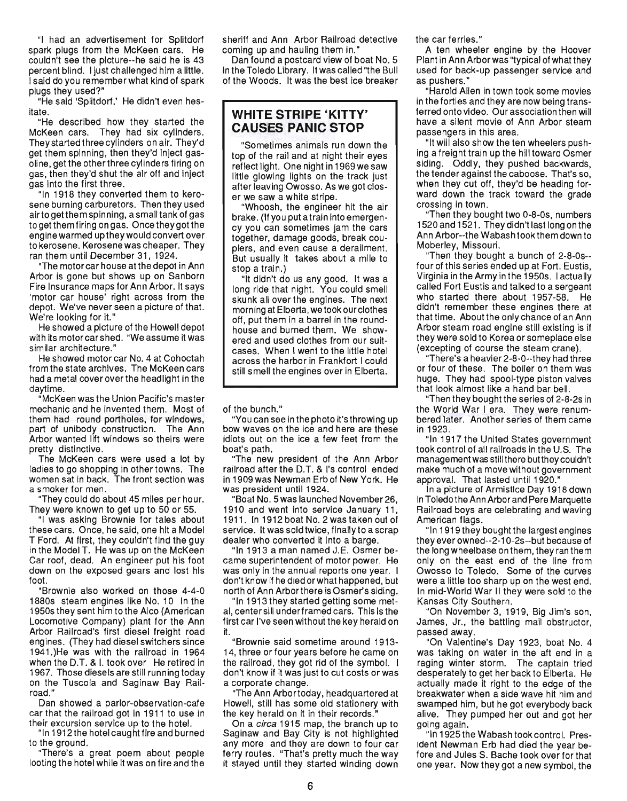"I had an advertisement for Splitdorf spark plugs from the McKeen cars. He couldn't see the picture--he said he is 43 percent blind. I just challenged him a little. I said do you remember what kind of spark plugs they used?"

"He said 'Splitdorf.' He didn't even hesitate.

"He described how they started the McKeen cars. They had six cylinders. They started three cylinders on air. They'd get them spinning, then they'd inject gasoline, get the other three cylinders firing on gas, then they'd shut the air off and inject gas into the first three.

"In 1918 they converted them to kerosene burning carburetors. Then they used airto getthem spinning, a small tank of gas to get them firing on gas. Once they got the engine warmed up they would convert over to kerosene. Kerosene was cheaper. They ran them until December 31, 1924.

"The motorcar house at the depot in Ann Arbor is gone but shows up on Sanborn Fire Insurance maps for Ann Arbor. It says 'motor car house' right across from the depot. We've never seen a picture of that. We're looking for it."

He showed a picture of the Howell depot with its motorcar shed. "We assume it was similar architecture."

He showed motor car No. 4 at Cohoctah from the state archives. The McKeen cars had a metal cover over the headlight in the daytime.

"McKeen was the Union Pacific's master mechanic and he invented them. Most of them had round portholes, for windows, part of unibody construction. The Ann Arbor wanted lift windows so theirs were pretty distinctive.

The McKeen cars were used a lot by ladies to go shopping in other towns. The women sat in back. The front section was a smoker for men.

"They could do about 45 miles per hour. They were known to get up to 50 or 55.

"I was asking Brownie for tales about these cars. Once, he said, one hit a Model T Ford. At first, they couldn't find the guy in the Model T. He was up on the McKeen Car roof, dead. An engineer put his foot down on the exposed gears and lost his foot.

"Brownie also worked on those 4-4-0 1880s steam engines like No. 10 In the 1950s they sent him to the Alco (American Locomotive Company) plant for the Ann Arbor Railroad's first diesel freight road engines. (They had diesel switchers since 1941.)He was with the railroad in 1964 when the D.T. & I. took over He retired in 1967. Those diesels are still running today on the Tuscola and Saginaw Bay Railroad."

Dan showed a parlor-observation-cafe car that the railroad got in 1911 to use in their excursion service up to the hotel.

"In 1912 the hotel caught fire and burned to the ground.

"There's a great poem about people looting the hotel while it was on fire and the sheriff and Ann Arbor Railroad detective coming up and hauling them in."

Dan found a postcard view of boat No. 5 in the Toledo Library. It was called "the Bull of the Woods. It was the best ice breaker

#### **WHITE STRIPE 'KITTY' CAUSES PANIC STOP**

"Sometimes animals run down the top of the rail and at night their eyes reflect light. One night in 1969 we saw little glowing lights on the track just after leaving Owosso. As we got closer we saw a white stripe.

"Whoosh, the engineer hit the air brake. (If you put a train into emergency you can sometimes jam the cars together, damage goods, break couplers, and even cause a derailment. But usually it takes about a mile to stop a train.)

"It didn't do us any good. It was a long ride that night. You could smell skunk all over the engines. The next morning at Elberta, wetook our clothes off, put them in a barrel in the roundhouse and burned them. We showered and used clothes from our suitcases. When I went to the little hotel across the harbor in Frankfort I could still smell the engines over in Elberta.

of the bunch."

"You can see in the photo it's throwing up bow waves on the ice and here are these idiots out on the ice a few feet from the boat's path.

"The new president of the Ann Arbor railroad after the D.T. & I's control ended in 1909 was Newman Erb of New York. He was president until 1924.

"Boat No. 5was launched November26, 1910 and went into service January 11, 1911. In 1912 boat No. 2 was taken out of service. It was sold twice, finally to a scrap dealer who converted it into a barge.

"In 1913 a man named J.E. Osmer became superintendent of motor power. He was only in the annual reports one year. I don't know if he died or what happened, but north of Ann Arborthere is Osmer's siding.

"In 1913 they started getting some metal, centersill underframed cars. This is the first car I've seen without the key herald on it.

"Brownie said sometime around 1913- 14, three or four years before he came on the railroad, they got rid of the symbol. I don't know if it was just to cut costs or was a corporate change.

"The Ann Arbortoday, headquartered at Howell, still has some old stationery with the key herald on it in their records."

On a circa 1915 map, the branch up to Saginaw and Bay City is not highlighted any more and they are down to four car ferry routes. "That's pretty much the way it stayed until they started winding down the car ferries."

A ten wheeler engine by the Hoover Plant in Ann Arborwas "typical of what they used for back-up passenger service and as pushers."

"Harold Allen in town took some movies in the forties and they are now being transferred onto video. Our association then will have a silent movie of Ann Arbor steam passengers in this area.

"It will also show the ten wheelers pushing a freight train up the hill toward Osmer siding. Oddly, they pushed backwards, the tender against the caboose. That's so, when they cut off, they'd be heading forward down the track toward the grade crossing in town.

"Then they bought two 0-8-0s, numbers 1520 and 1521 . They didn't last long on the Ann Arbor--the Wabash took them down to Moberley, Missouri.

"Then they bought a bunch of 2-8-0s- four of this series ended up at Fort. Eustis, Virginia in the Army in the 1950s. I actually called Fort Eustis and talked to a sergeant who started there about 1957-58. He didn't remember these engines there at that time. About the only chance of an Ann Arbor steam road engine still existing is if they were sold to Korea or someplace else (excepting of course the steam crane).

"There's a heavier 2-8-0--they had three or four of these. The boiler on them was huge. They had spool-type piston valves that look almost like a hand bar bell.

"Then they bought the series of 2-8-2s in the World War I era. They were renumbered later. Another series of them came in 1923.

"In 1917 the United States government took control of all railroads in the U.S. The management was stillthere buttheycouldn't make much of a move without government approval. That lasted until 1920."

In a picture of Armistice Day 1918 down in Toledo the Ann Arbor and Pere Marquette Railroad boys are celebrating and waving American flags.

"In 1919 they bought the largest engines they ever owned--2-1 0-2s--but because of the long wheelbase on them, they ran them only on the east end of the line from Owosso to Toledo. Some of the curves were a little too sharp up on the west end. In mid-World War II they were sold to the Kansas City Southern.

"On November 3, 1919, Big Jim's son, James, Jr., the battling mail obstructor, passed away.

"On Valentine's Day 1923, boat NO.4 was taking on water in the aft end in a raging winter storm. The captain tried desperately to get her back to Elberta. He actually made it right to the edge of the breakwater when a side wave hit him and swamped him, but he got everybody back alive. They pumped her out and got her going again.

"In 1925 the Wabash took control. President Newman Erb had died the year before and Jules S. Bache took over for that one year. Now they got a new symbol, the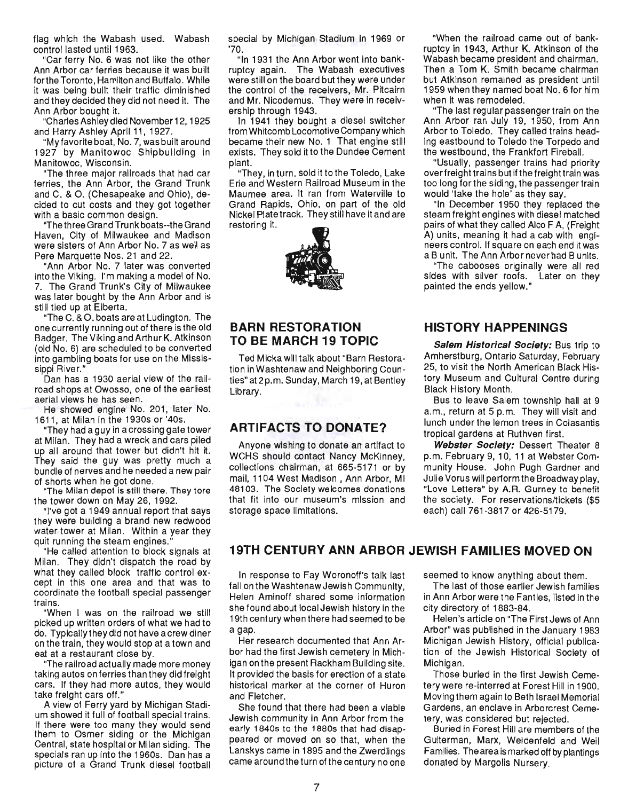flag which the Wabash used. Wabash control lasted until 1963.

"Car ferry NO. 6 was not like the other Ann Arbor car ferries because it was built forthe Toronto, Hamilton and Buffalo. While it was being built their traffic diminished and they decided they did not need it. The Ann Arbor bought it.

"Charles Ashleydied November 12, 1925 and Harry Ashley April 11, 1927.

"My favorite boat, No.7, was built around 1927 by Manitowoc Shipbuilding in Manitowoc, Wisconsin.

"The three major railroads that had car ferries, the Ann Arbor, the Grand Trunk and C. & O. (Chesapeake and Ohio), decided to cut costs and they got together with a basic common design.

"The th ree Grand Tru nk boats--the Grand Haven, City of Milwaukee and Madison were sisters of Ann Arbor No. 7 as well as Pere Marquette Nos. 21 and 22.

"Ann Arbor No. 7 later was converted into the Viking. I'm making a model of No. 7. The Grand Trunk's City of Milwaukee was later bought by the Ann Arbor and is still tied up at Elberta.

"The C. & O. boats are at Ludington. The one currently running out of there is the old Badger. The Viking and Arthur K. Atkinson (old No.6) are scheduled to be converted into gambling boats for use on the Mississippi River.'

Dan has a 1930 aerial view of the railroad shops at Owosso, one of the earliest aerial views he has seen.

He showed engine No. 201, later No. 161 1, at Milan in the 1930s or '40s.

"They had a guy in a crossing gate tower at Milan. They had a wreck and cars piled up all around that tower but didn't hit it. They said the guy was pretty much a bundle of nerves and he needed a new pair of shorts when he got done.

"The Milan depot is still there. They tore the tower down on May 26, 1992.

"I've got a 1949 annual report that says they were building a brand new redwood water tower at Milan. Within a year they quit running the steam engines."

"He called attention to block signals at Milan. They didn't dispatch the road by what they called block traffic control except in this one area and that was to coordinate the football special passenger trains.

"When I was on the railroad we still picked up written orders of what we had to do. Typicallytheydid not have acrewdiner on the train, they would stop at a town and eat at a restaurant close by.

"The railroad actually made more money taking autos on ferries than they did freight cars. If they had more autos, they would take freight cars off."

A view of Ferry yard by Michigan Stadium showed it full of football special trains. If there were too many they would send them to Osmer siding or the Michigan Central, state hospital or Milan siding. The specials ran up into the 1960s. Dan has a picture of a Grand Trunk diesel football special by Michigan Stadium in 1969 or '70.

"In 1931 the Ann Arbor went into bankruptcy again. The Wabash executives were still on the board but they were under the control of the receivers, Mr. Pitcairn and Mr. Nicodemus. They were in receivership through 1943.

In 1941 they bought a diesel switcher from Whitcomb Locomotive Company which became their new No.1 That engine still exists. They sold it to the Dundee Cement plant.

"They, in turn, sold it to the Toledo, Lake Erie and Western Railroad Museum in the Maumee area. It ran from Waterville to Grand Rapids, Ohio, on part of the old Nickel Plate track. They still have it and are restoring it.



#### **BARN RESTORATION TO BE MARCH 19 TOPIC**

Ted Micka will talk about "Barn Restoration in Washtenaw and Neighboring Counties" at 2 p.m. Sunday, March 19, at Bentley Library.

#### **ARTIFACTS TO DONATE?**

Anyone wishing to donate an artifact to WCHS should contact Nancy McKinney, collections chairman, at 665-5171 or by mail, 1104 West Madison , Ann Arbor, MI 48103. The Society welcomes donations that fit into our museum's mission and storage space limitations.

"When the railroad came out of bankruptcy in 1943, Arthur K. Atkinson of the Wabash became president and chairman. Then a Tom K. Smith became chairman but Atkinson remained as president until 1959 when they named boat NO.6 for him when it was remodeled.

"The last regular passenger train on the Ann Arbor ran July 19, 1950, from Ann Arbor to Toledo. They called trains heading eastbound to Toledo the Torpedo and the westbound, the Frankfort Fireball.

"Usually, passenger trains had priority overfreight trains but if the freight train was too long for the siding, the passenger train would 'take the hole' as they say.

"In December 1950 they replaced the steam freight engines with diesel matched pairs of what they called Alco F A, (Freight A) units, meaning it had a cab with engineers control. If square on each end it was a B unit. The Ann Arbor never had B units.

"The cabooses originally were all red sides with silver roofs. Later on they painted the ends yellow."

#### **HISTORY HAPPENINGS**

Salem Historical Society: Bus trip to Amherstburg, Ontario Saturday, February 25, to visit the North American Black History Museum and Cultural Centre during Black History Month.

Bus to leave Salem township hall at 9 a.m., return at 5 p.m. They will visit and lunch under the lemon trees in Colasantis tropical gardens at Ruthven first.

Webster Society: Dessert Theater 8 p.m. February 9, 10, 11 at Webster Community House. John Pugh Gardner and Julie Vorus will perform the Broadway play, "Love Letters" by A.R. Gurney to benefit the society. For reservations/tickets (\$5 each) call 761-3817 or 426-5179.

#### **19TH CENTURY ANN ARBOR JEWISH FAMILIES MOVED ON**

In response to Fay Woronoff's talk last fall on the Washtenaw Jewish Community, Helen Aminoff shared some information she found about local Jewish history in the 19th century when there had seemed to be a gap.

Her research documented that Ann Arbor had the first Jewish cemetery in Michigan on the present Rackham Building site. It provided the basis for erection of a state historical marker at the corner of Huron and Fletcher.

She found that there had been a viable Jewish community in Ann Arbor from the early 1840s to the 1880s that had disappeared or moved on so that, when the Lanskys came in 1895 and the Zwerdlings came around the turn of the century no one seemed to know anything about them.

The last of those earlier Jewish families in Ann Arbor were the Fantles, listed in the city directory of 1883-84.

Helen's article on "The First Jews of Ann Arbor" was published in the January 1983 Michigan Jewish History, official publication of the Jewish Historical Society of Michigan.

Those buried in the first Jewish Cemetery were re-interred at Forest Hill in 1900. Moving them again to Beth Israel Memorial Gardens, an enclave in Arborcrest Cemetery, was considered but rejected.

Buried in Forest Hill are members of the Guiterman, Marx, Weidenfeld and Weil Families. The area is marked off by plantings donated by MargOlis Nursery.